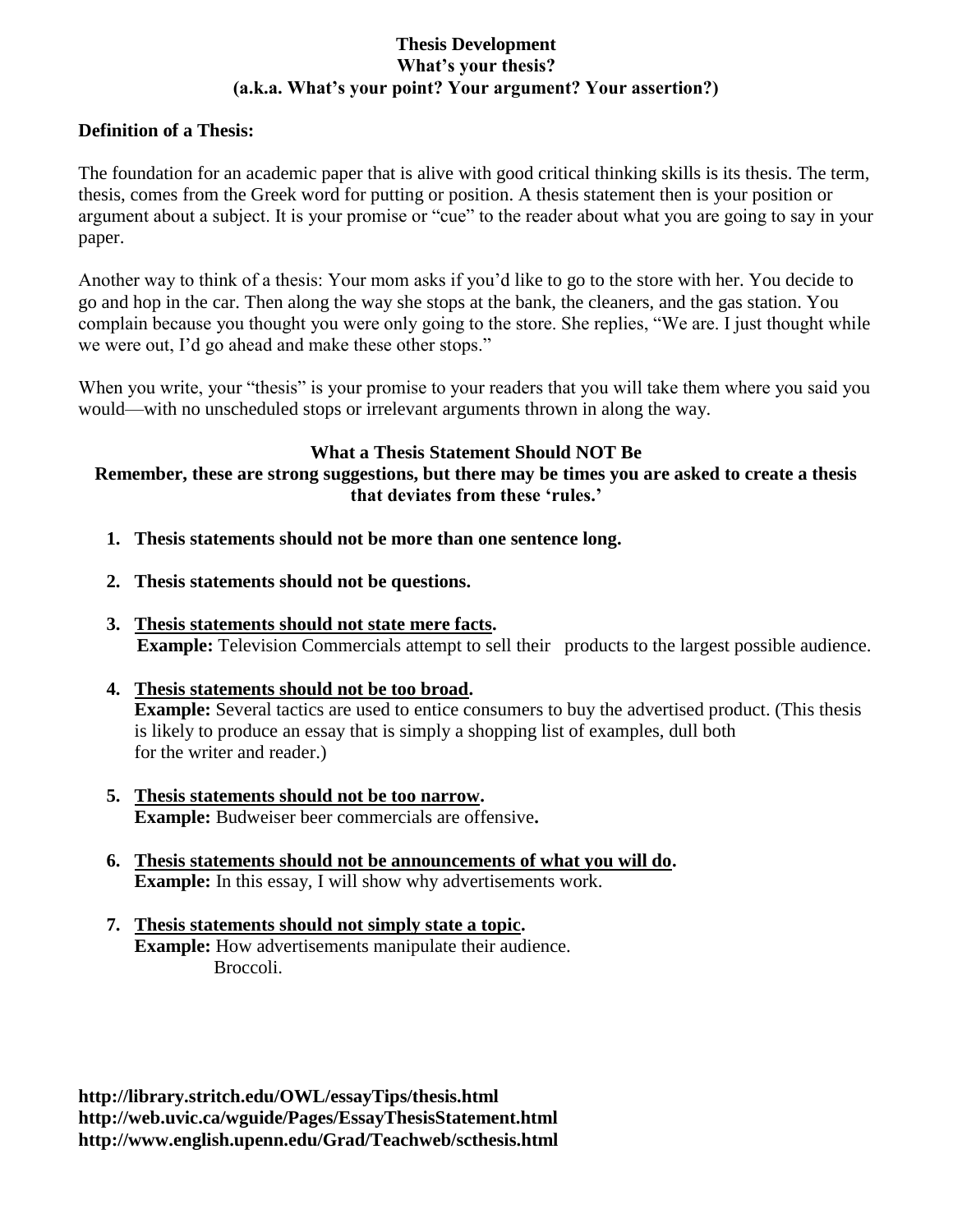### **Thesis Development What's your thesis? (a.k.a. What's your point? Your argument? Your assertion?)**

### **Definition of a Thesis:**

The foundation for an academic paper that is alive with good critical thinking skills is its thesis. The term, thesis, comes from the Greek word for putting or position. A thesis statement then is your position or argument about a subject. It is your promise or "cue" to the reader about what you are going to say in your paper.

Another way to think of a thesis: Your mom asks if you'd like to go to the store with her. You decide to go and hop in the car. Then along the way she stops at the bank, the cleaners, and the gas station. You complain because you thought you were only going to the store. She replies, "We are. I just thought while we were out, I'd go ahead and make these other stops."

When you write, your "thesis" is your promise to your readers that you will take them where you said you would—with no unscheduled stops or irrelevant arguments thrown in along the way.

### **What a Thesis Statement Should NOT Be**

# **Remember, these are strong suggestions, but there may be times you are asked to create a thesis that deviates from these 'rules.'**

- **1. Thesis statements should not be more than one sentence long.**
- **2. Thesis statements should not be questions.**
- **3. Thesis statements should not state mere facts. Example:** Television Commercials attempt to sell their products to the largest possible audience.
- **4. Thesis statements should not be too broad. Example:** Several tactics are used to entice consumers to buy the advertised product. (This thesis is likely to produce an essay that is simply a shopping list of examples, dull both for the writer and reader.)
- **5. Thesis statements should not be too narrow. Example:** Budweiser beer commercials are offensive**.**
- **6. Thesis statements should not be announcements of what you will do. Example:** In this essay, I will show why advertisements work.
- **7. Thesis statements should not simply state a topic. Example:** How advertisements manipulate their audience. Broccoli.

**http://library.stritch.edu/OWL/essayTips/thesis.html http://web.uvic.ca/wguide/Pages/EssayThesisStatement.html http://www.english.upenn.edu/Grad/Teachweb/scthesis.html**